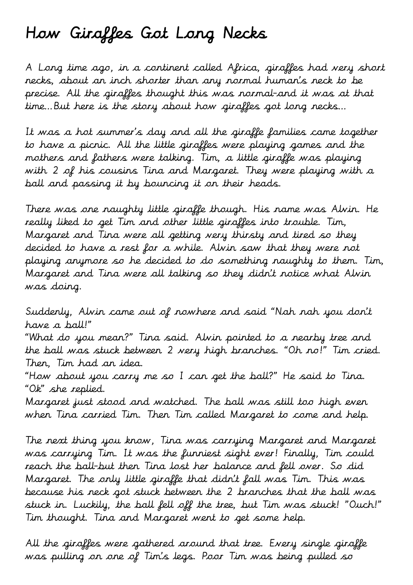## How Giraffes Got Long Necks

A Long time ago, in a continent called Africa, giraffes had very short necks, about an inch shorter than any normal human's neck to be precise. All the giraffes thought this was normal-and it was at that time…But here is the story about how giraffes got long necks…

It was a hot summer's day and all the giraffe families came together to have a picnic. All the little giraffes were playing games and the mothers and fathers were talking. Tim, a little giraffe was playing with 2 of his cousins Tina and Margaret. They were playing with a ball and passing it by bouncing it on their heads.

There was one naughty little giraffe though. His name was Alvin. He really liked to get Tim and other little giraffes into trouble. Tim, Margaret and Tina were all getting very thirsty and tired so they decided to have a rest for a while. Alvin saw that they were not playing anymore so he decided to do something naughty to them. Tim, Margaret and Tina were all talking so they didn't notice what Alvin was doing.

Suddenly, Alvin came out of nowhere and said "Nah nah you don't have a ball!"

"What do you mean?" Tina said. Alvin pointed to a nearby tree and the ball was stuck between 2 very high branches. "Oh no!" Tim cried. Then, Tim had an idea.

"How about you carry me so I can get the ball?" He said to Tina. "Ok" she replied.

Margaret just stood and watched. The ball was still too high even when Tina carried Tim. Then Tim called Margaret to come and help.

The next thing you know, Tina was carrying Margaret and Margaret was carrying Tim. It was the funniest sight ever! Finally, Tim could reach the ball-but then Tina lost her balance and fell over. So did Margaret. The only little giraffe that didn't fall was Tim. This was because his neck got stuck between the 2 branches that the ball was stuck in. Luckily, the ball fell off the tree, but Tim was stuck! "Ouch!" Tim thought. Tina and Margaret went to get some help.

All the giraffes were gathered around that tree. Every single giraffe was pulling on one of Tim's legs. Poor Tim was being pulled so